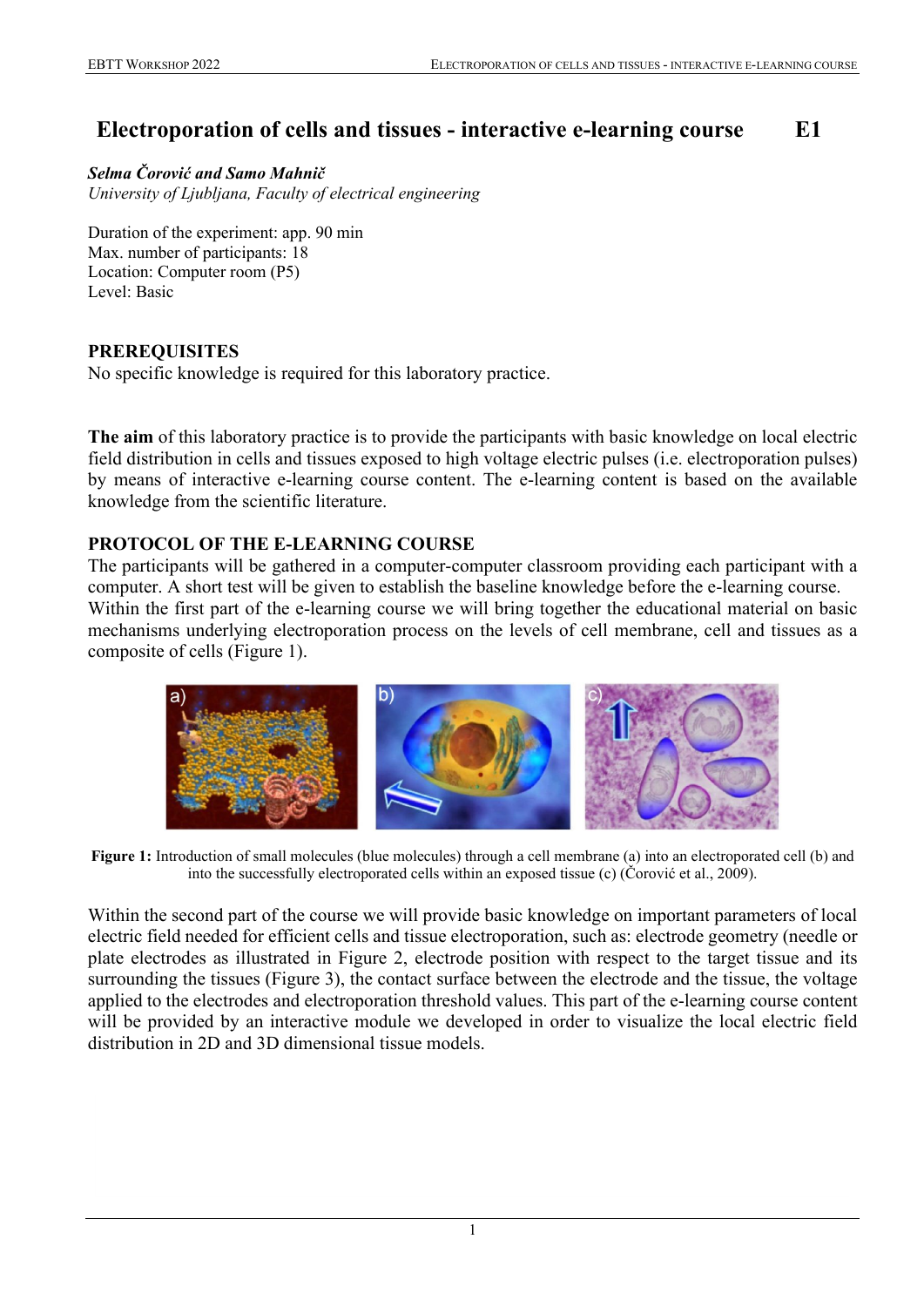# **Electroporation of cells and tissues - interactive e-learning course E1**

*Selma Čorović and Samo Mahnič University of Ljubljana, Faculty of electrical engineering*

Duration of the experiment: app. 90 min Max. number of participants: 18 Location: Computer room (P5) Level: Basic

### **PREREQUISITES**

No specific knowledge is required for this laboratory practice.

**The aim** of this laboratory practice is to provide the participants with basic knowledge on local electric field distribution in cells and tissues exposed to high voltage electric pulses (i.e. electroporation pulses) by means of interactive e-learning course content. The e-learning content is based on the available knowledge from the scientific literature.

## **PROTOCOL OF THE E-LEARNING COURSE**

The participants will be gathered in a computer-computer classroom providing each participant with a computer. A short test will be given to establish the baseline knowledge before the e-learning course. Within the first part of the e-learning course we will bring together the educational material on basic mechanisms underlying electroporation process on the levels of cell membrane, cell and tissues as a composite of cells (Figure 1).



**Figure 1:** Introduction of small molecules (blue molecules) through a cell membrane (a) into an electroporated cell (b) and into the successfully electroporated cells within an exposed tissue (c) (Čorović et al., 2009).

Within the second part of the course we will provide basic knowledge on important parameters of local electric field needed for efficient cells and tissue electroporation, such as: electrode geometry (needle or plate electrodes as illustrated in Figure 2, electrode position with respect to the target tissue and its surrounding the tissues (Figure 3), the contact surface between the electrode and the tissue, the voltage applied to the electrodes and electroporation threshold values. This part of the e-learning course content will be provided by an interactive module we developed in order to visualize the local electric field distribution in 2D and 3D dimensional tissue models.

1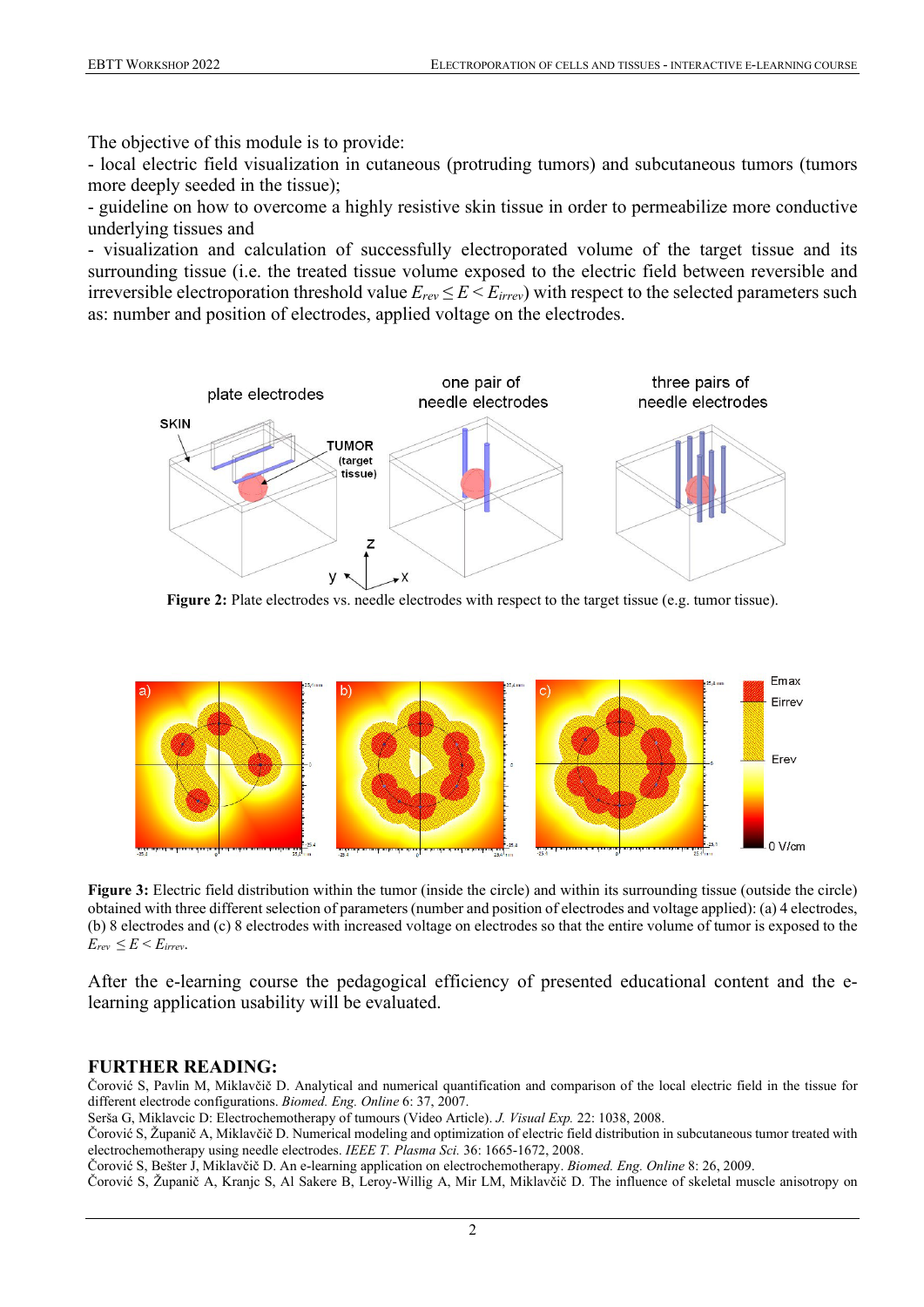The objective of this module is to provide:

- local electric field visualization in cutaneous (protruding tumors) and subcutaneous tumors (tumors more deeply seeded in the tissue);

- guideline on how to overcome a highly resistive skin tissue in order to permeabilize more conductive underlying tissues and

- visualization and calculation of successfully electroporated volume of the target tissue and its surrounding tissue (i.e. the treated tissue volume exposed to the electric field between reversible and irreversible electroporation threshold value  $E_{rev} \le E \le E_{irrev}$ ) with respect to the selected parameters such as: number and position of electrodes, applied voltage on the electrodes.



Figure 2: Plate electrodes vs. needle electrodes with respect to the target tissue (e.g. tumor tissue).



**Figure 3:** Electric field distribution within the tumor (inside the circle) and within its surrounding tissue (outside the circle) obtained with three different selection of parameters (number and position of electrodes and voltage applied): (a) 4 electrodes, (b) 8 electrodes and (c) 8 electrodes with increased voltage on electrodes so that the entire volume of tumor is exposed to the  $E_{rev} \leq E \leq E_{irrev}$ .

After the e-learning course the pedagogical efficiency of presented educational content and the elearning application usability will be evaluated.

#### **FURTHER READING:**

Čorović S, Pavlin M, Miklavčič D. Analytical and numerical quantification and comparison of the local electric field in the tissue for different electrode configurations. *Biomed. Eng. Online* 6: 37, 2007.

Serša G, Miklavcic D: Electrochemotherapy of tumours (Video Article). *J. Visual Exp.* 22: 1038, 2008.

Čorović S, Županič A, Miklavčič D. Numerical modeling and optimization of electric field distribution in subcutaneous tumor treated with electrochemotherapy using needle electrodes. *IEEE T. Plasma Sci.* 36: 1665-1672, 2008.

Čorović S, Bešter J, Miklavčič D. An e-learning application on electrochemotherapy. *Biomed. Eng. Online* 8: 26, 2009.

Čorović S, Županič A, Kranjc S, Al Sakere B, Leroy-Willig A, Mir LM, Miklavčič D. The influence of skeletal muscle anisotropy on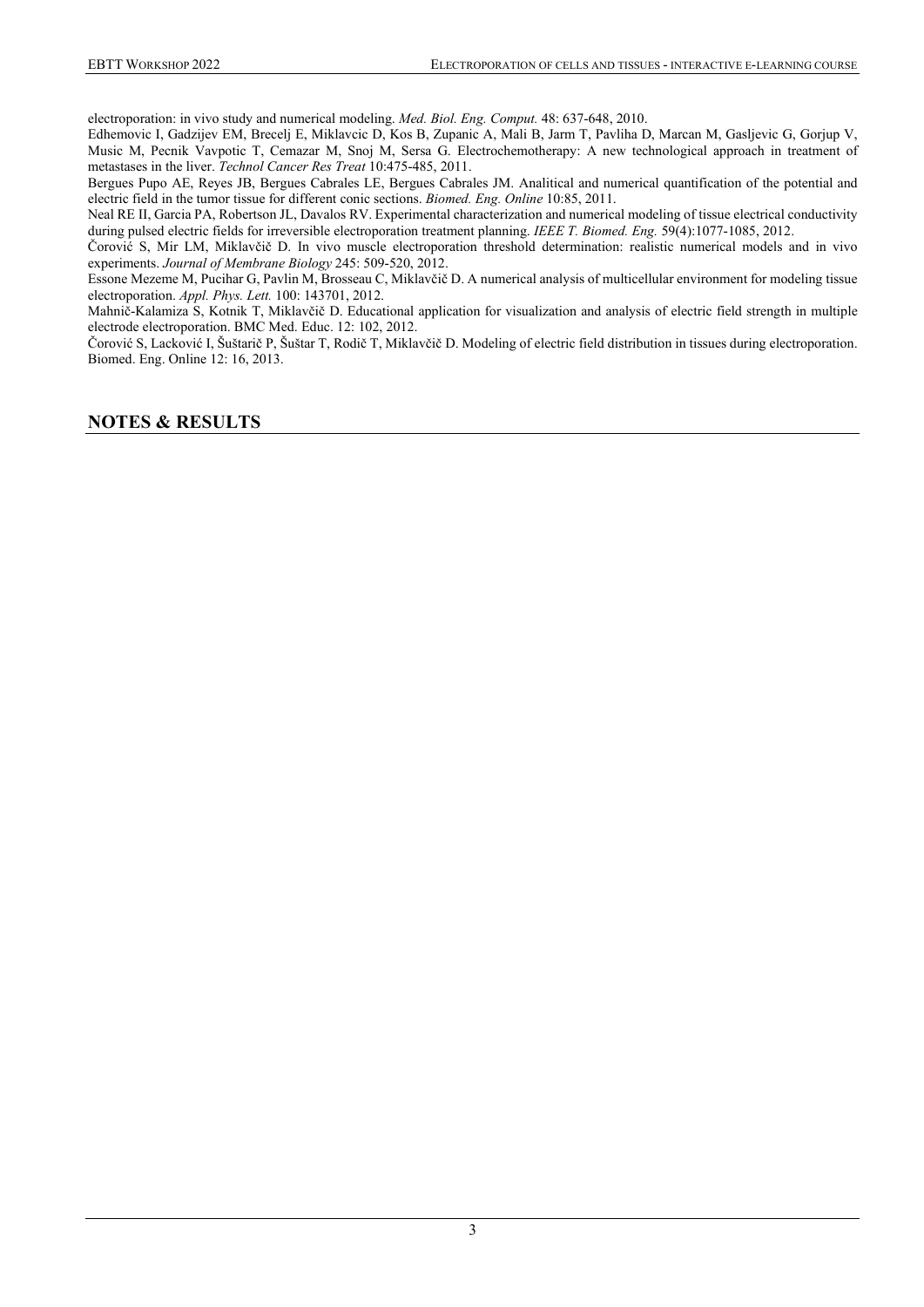electroporation: in vivo study and numerical modeling. *Med. Biol. Eng. Comput.* 48: 637-648, 2010.

Edhemovic I, Gadzijev EM, Brecelj E, Miklavcic D, Kos B, Zupanic A, Mali B, Jarm T, Pavliha D, Marcan M, Gasljevic G, Gorjup V, Music M, Pecnik Vavpotic T, Cemazar M, Snoj M, Sersa G. Electrochemotherapy: A new technological approach in treatment of metastases in the liver. *Technol Cancer Res Treat* 10:475-485, 2011.

Bergues Pupo AE, Reyes JB, Bergues Cabrales LE, Bergues Cabrales JM. Analitical and numerical quantification of the potential and electric field in the tumor tissue for different conic sections. *Biomed. Eng. Online* 10:85, 2011.

Neal RE II, Garcia PA, Robertson JL, Davalos RV. Experimental characterization and numerical modeling of tissue electrical conductivity during pulsed electric fields for irreversible electroporation treatment planning. *IEEE T. Biomed. Eng.* 59(4):1077-1085, 2012.

Čorović S, Mir LM, Miklavčič D. In vivo muscle electroporation threshold determination: realistic numerical models and in vivo experiments. *Journal of Membrane Biology* 245: 509-520, 2012.

Essone Mezeme M, Pucihar G, Pavlin M, Brosseau C, Miklavčič D. A numerical analysis of multicellular environment for modeling tissue electroporation. *Appl. Phys. Lett.* 100: 143701, 2012.

Mahnič-Kalamiza S, Kotnik T, Miklavčič D. Educational application for visualization and analysis of electric field strength in multiple electrode electroporation. BMC Med. Educ. 12: 102, 2012.

Čorović S, Lacković I, Šuštarič P, Šuštar T, Rodič T, Miklavčič D. Modeling of electric field distribution in tissues during electroporation. Biomed. Eng. Online 12: 16, 2013.

#### **NOTES & RESULTS**